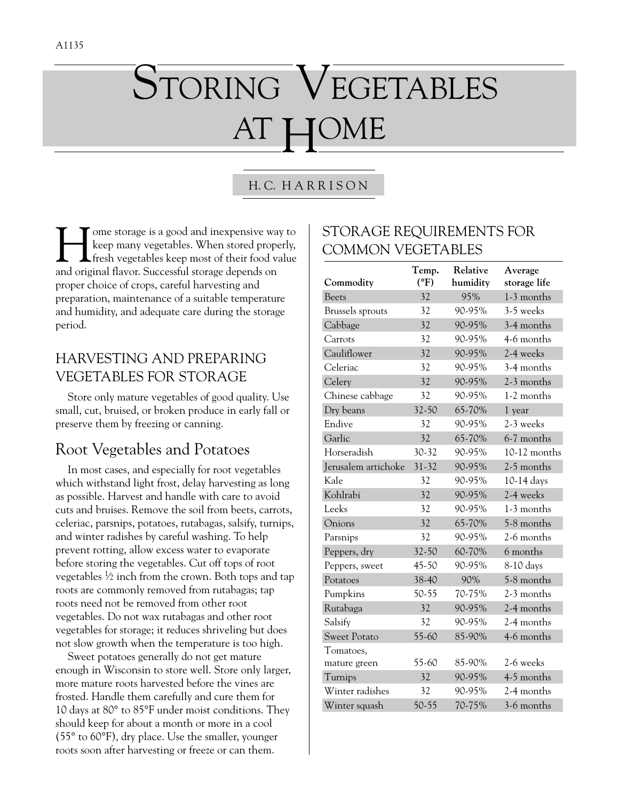# STORING VEGETABLES AT HOME

#### H. C. H A R R I S O N

I ome storage is a good and inexpensive way to<br>keep many vegetables. When stored properly,<br>fresh vegetables keep most of their food value<br>and original flavor. Successful storage depends on keep many vegetables. When stored properly, fresh vegetables keep most of their food value and original flavor. Successful storage depends on proper choice of crops, careful harvesting and preparation, maintenance of a suitable temperature and humidity, and adequate care during the storage period.

### HARVESTING AND PREPARING VEGETABLES FOR STORAGE

Store only mature vegetables of good quality. Use small, cut, bruised, or broken produce in early fall or preserve them by freezing or canning.

## Root Vegetables and Potatoes

In most cases, and especially for root vegetables which withstand light frost, delay harvesting as long as possible. Harvest and handle with care to avoid cuts and bruises. Remove the soil from beets, carrots, celeriac, parsnips, potatoes, rutabagas, salsify, turnips, and winter radishes by careful washing. To help prevent rotting, allow excess water to evaporate before storing the vegetables. Cut off tops of root vegetables  $\frac{1}{2}$  inch from the crown. Both tops and tap roots are commonly removed from rutabagas; tap roots need not be removed from other root vegetables. Do not wax rutabagas and other root vegetables for storage; it reduces shriveling but does not slow growth when the temperature is too high.

Sweet potatoes generally do not get mature enough in Wisconsin to store well. Store only larger, more mature roots harvested before the vines are frosted. Handle them carefully and cure them for 10 days at 80° to 85°F under moist conditions. They should keep for about a month or more in a cool (55° to 60°F), dry place. Use the smaller, younger roots soon after harvesting or freeze or can them.

### STORAGE REQUIREMENTS FOR COMMON VEGETABLES

| Commodity               | Temp.<br>(°F) | Relative<br>humidity | Average<br>storage life |
|-------------------------|---------------|----------------------|-------------------------|
| Beets                   | 32            | 95%                  | 1-3 months              |
| <b>Brussels</b> sprouts | 32            | 90-95%               | 3-5 weeks               |
| Cabbage                 | 32            | 90-95%               | 3-4 months              |
| Carrots                 | 32            | 90-95%               | 4-6 months              |
| Cauliflower             | 32            | 90-95%               | 2-4 weeks               |
| Celeriac                | 32            | 90-95%               | 3-4 months              |
| Celery                  | 32            | 90-95%               | 2-3 months              |
| Chinese cabbage         | 32            | 90-95%               | 1-2 months              |
| Dry beans               | 32-50         | 65-70%               | 1 year                  |
| Endive                  | 32            | 90-95%               | 2-3 weeks               |
| Garlic                  | 32            | 65-70%               | 6-7 months              |
| Horseradish             | 30-32         | 90-95%               | $10-12$ months          |
| Jerusalem artichoke     | 31-32         | 90-95%               | 2-5 months              |
| Kale                    | 32            | 90-95%               | 10-14 days              |
| Kohlrabi                | 32            | 90-95%               | 2-4 weeks               |
| Leeks                   | 32            | 90-95%               | 1-3 months              |
| Onions                  | 32            | 65-70%               | 5-8 months              |
| Parsnips                | 32            | 90-95%               | 2-6 months              |
| Peppers, dry            | 32-50         | 60-70%               | 6 months                |
| Peppers, sweet          | 45-50         | 90-95%               | 8-10 days               |
| Potatoes                | 38-40         | 90%                  | 5-8 months              |
| Pumpkins                | 50-55         | 70-75%               | 2-3 months              |
| Rutabaga                | 32            | 90-95%               | 2-4 months              |
| Salsify                 | 32            | 90-95%               | 2-4 months              |
| <b>Sweet Potato</b>     | 55-60         | 85-90%               | 4-6 months              |
| Tomatoes,               |               |                      |                         |
| mature green            | 55-60         | 85-90%               | 2-6 weeks               |
| Turnips                 | 32            | 90-95%               | 4-5 months              |
| Winter radishes         | 32            | 90-95%               | 2-4 months              |
| Winter squash           | 50-55         | 70-75%               | 3-6 months              |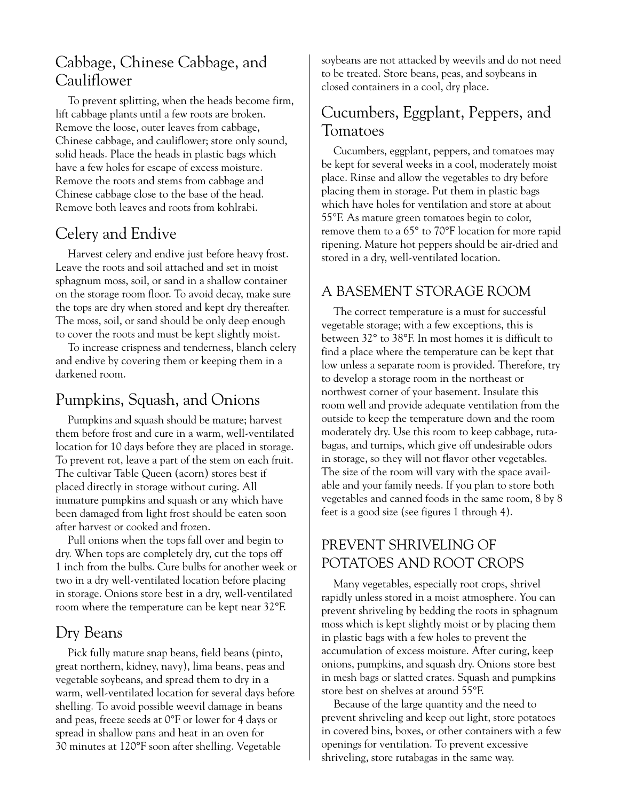## Cabbage, Chinese Cabbage, and Cauliflower

To prevent splitting, when the heads become firm, lift cabbage plants until a few roots are broken. Remove the loose, outer leaves from cabbage, Chinese cabbage, and cauliflower; store only sound, solid heads. Place the heads in plastic bags which have a few holes for escape of excess moisture. Remove the roots and stems from cabbage and Chinese cabbage close to the base of the head. Remove both leaves and roots from kohlrabi.

## Celery and Endive

Harvest celery and endive just before heavy frost. Leave the roots and soil attached and set in moist sphagnum moss, soil, or sand in a shallow container on the storage room floor. To avoid decay, make sure the tops are dry when stored and kept dry thereafter. The moss, soil, or sand should be only deep enough to cover the roots and must be kept slightly moist.

To increase crispness and tenderness, blanch celery and endive by covering them or keeping them in a darkened room.

## Pumpkins, Squash, and Onions

Pumpkins and squash should be mature; harvest them before frost and cure in a warm, well-ventilated location for 10 days before they are placed in storage. To prevent rot, leave a part of the stem on each fruit. The cultivar Table Queen (acorn) stores best if placed directly in storage without curing. All immature pumpkins and squash or any which have been damaged from light frost should be eaten soon after harvest or cooked and frozen.

Pull onions when the tops fall over and begin to dry. When tops are completely dry, cut the tops off 1 inch from the bulbs. Cure bulbs for another week or two in a dry well-ventilated location before placing in storage. Onions store best in a dry, well-ventilated room where the temperature can be kept near 32°F.

## Dry Beans

Pick fully mature snap beans, field beans (pinto, great northern, kidney, navy), lima beans, peas and vegetable soybeans, and spread them to dry in a warm, well-ventilated location for several days before shelling. To avoid possible weevil damage in beans and peas, freeze seeds at 0°F or lower for 4 days or spread in shallow pans and heat in an oven for 30 minutes at 120°F soon after shelling. Vegetable

soybeans are not attacked by weevils and do not need to be treated. Store beans, peas, and soybeans in closed containers in a cool, dry place.

## Cucumbers, Eggplant, Peppers, and Tomatoes

Cucumbers, eggplant, peppers, and tomatoes may be kept for several weeks in a cool, moderately moist place. Rinse and allow the vegetables to dry before placing them in storage. Put them in plastic bags which have holes for ventilation and store at about 55°F. As mature green tomatoes begin to color, remove them to a 65° to 70°F location for more rapid ripening. Mature hot peppers should be air-dried and stored in a dry, well-ventilated location.

## A BASEMENT STORAGE ROOM

The correct temperature is a must for successful vegetable storage; with a few exceptions, this is between 32° to 38°F. In most homes it is difficult to find a place where the temperature can be kept that low unless a separate room is provided. Therefore, try to develop a storage room in the northeast or northwest corner of your basement. Insulate this room well and provide adequate ventilation from the outside to keep the temperature down and the room moderately dry. Use this room to keep cabbage, rutabagas, and turnips, which give off undesirable odors in storage, so they will not flavor other vegetables. The size of the room will vary with the space available and your family needs. If you plan to store both vegetables and canned foods in the same room, 8 by 8 feet is a good size (see figures 1 through 4).

## PREVENT SHRIVELING OF POTATOES AND ROOT CROPS

Many vegetables, especially root crops, shrivel rapidly unless stored in a moist atmosphere. You can prevent shriveling by bedding the roots in sphagnum moss which is kept slightly moist or by placing them in plastic bags with a few holes to prevent the accumulation of excess moisture. After curing, keep onions, pumpkins, and squash dry. Onions store best in mesh bags or slatted crates. Squash and pumpkins store best on shelves at around 55°F.

Because of the large quantity and the need to prevent shriveling and keep out light, store potatoes in covered bins, boxes, or other containers with a few openings for ventilation. To prevent excessive shriveling, store rutabagas in the same way.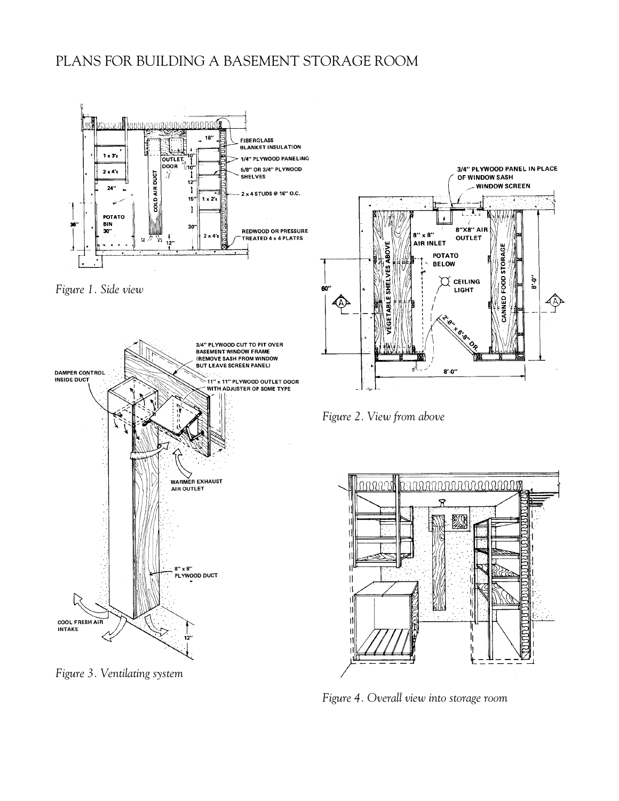#### PLANS FOR BUILDING A BASEMENT STORAGE ROOM







*Figure 3. Ventilating system*



*Figure 2. View from above*



*Figure 4. Overall view into storage room*